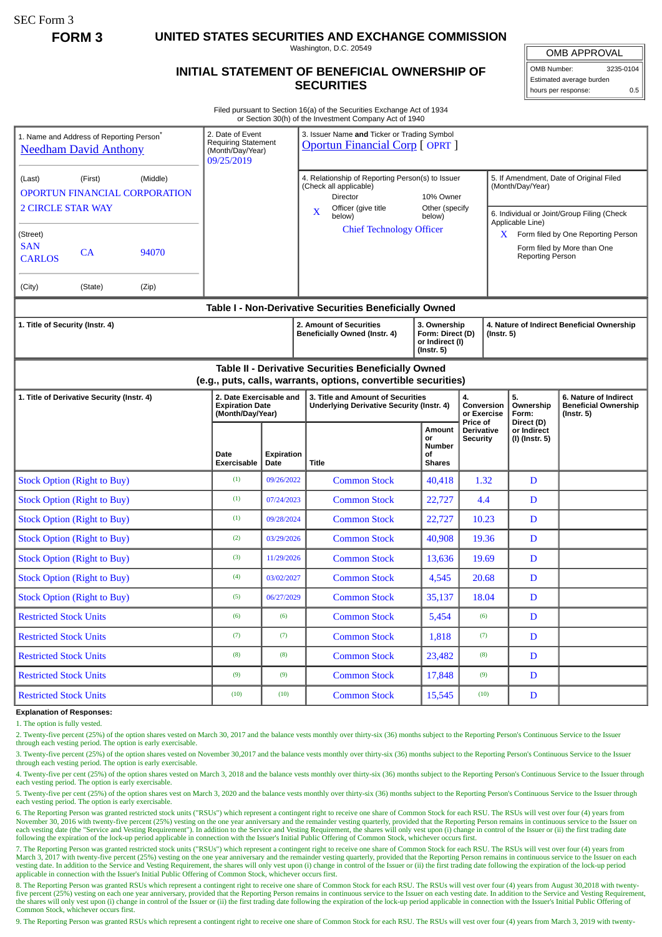SEC Form 3

**FORM 3 UNITED STATES SECURITIES AND EXCHANGE COMMISSION**

Washington, D.C. 20549

## **INITIAL STATEMENT OF BENEFICIAL OWNERSHIP OF SECURITIES**

OMB APPROVAL

OMB Number: 3235-0104 Estimated average burden hours per response: 0.5

Filed pursuant to Section 16(a) of the Securities Exchange Act of 1934 or Section 30(h) of the Investment Company Act of 1940

| 1. Name and Address of Reporting Person <sup>*</sup><br><b>Needham David Anthony</b>                                  | 2. Date of Event<br><b>Requiring Statement</b><br>(Month/Day/Year)<br>09/25/2019 |                    | 3. Issuer Name and Ticker or Trading Symbol<br><b>Oportun Financial Corp [ OPRT ]</b>                         |                                                                         |                                                             |                                                                |                                                                                                                 |  |
|-----------------------------------------------------------------------------------------------------------------------|----------------------------------------------------------------------------------|--------------------|---------------------------------------------------------------------------------------------------------------|-------------------------------------------------------------------------|-------------------------------------------------------------|----------------------------------------------------------------|-----------------------------------------------------------------------------------------------------------------|--|
| (First)<br>(Middle)<br>(Last)<br><b>OPORTUN FINANCIAL CORPORATION</b><br><b>2 CIRCLE STAR WAY</b>                     |                                                                                  |                    | 4. Relationship of Reporting Person(s) to Issuer<br>(Check all applicable)<br>Director<br>Officer (give title | 10% Owner<br>Other (specify                                             | 5. If Amendment, Date of Original Filed<br>(Month/Day/Year) |                                                                |                                                                                                                 |  |
| (Street)<br><b>SAN</b><br>CA<br>94070<br><b>CARLOS</b>                                                                |                                                                                  |                    | X<br>below)<br><b>Chief Technology Officer</b>                                                                | below)                                                                  | X.                                                          | Applicable Line)<br><b>Reporting Person</b>                    | 6. Individual or Joint/Group Filing (Check<br>Form filed by One Reporting Person<br>Form filed by More than One |  |
| (City)<br>(State)<br>(Zip)                                                                                            |                                                                                  |                    |                                                                                                               |                                                                         |                                                             |                                                                |                                                                                                                 |  |
| Table I - Non-Derivative Securities Beneficially Owned                                                                |                                                                                  |                    |                                                                                                               |                                                                         |                                                             |                                                                |                                                                                                                 |  |
| 1. Title of Security (Instr. 4)                                                                                       |                                                                                  |                    | 2. Amount of Securities<br>Beneficially Owned (Instr. 4)                                                      | 3. Ownership<br>Form: Direct (D)<br>or Indirect (I)<br>$($ Instr. 5 $)$ |                                                             | 4. Nature of Indirect Beneficial Ownership<br>$($ Instr. 5 $)$ |                                                                                                                 |  |
| Table II - Derivative Securities Beneficially Owned<br>(e.g., puts, calls, warrants, options, convertible securities) |                                                                                  |                    |                                                                                                               |                                                                         |                                                             |                                                                |                                                                                                                 |  |
| 1. Title of Derivative Security (Instr. 4)                                                                            | 2. Date Exercisable and<br><b>Expiration Date</b><br>(Month/Day/Year)            |                    | 3. Title and Amount of Securities<br>Underlying Derivative Security (Instr. 4)                                |                                                                         | 4.<br>Conversion<br>or Exercise                             | 5.<br>Ownership<br>Form:                                       | 6. Nature of Indirect<br><b>Beneficial Ownership</b><br>(Instr. 5)                                              |  |
|                                                                                                                       | Date<br><b>Exercisable</b>                                                       | Expiration<br>Date | Title                                                                                                         | Amount<br>or<br><b>Number</b><br>οf<br><b>Shares</b>                    | Price of<br>Derivative<br><b>Security</b>                   | Direct (D)<br>or Indirect<br>(I) (Instr. 5)                    |                                                                                                                 |  |
| <b>Stock Option (Right to Buy)</b>                                                                                    | (1)                                                                              | 09/26/2022         | <b>Common Stock</b>                                                                                           | 40,418                                                                  | 1.32                                                        | D                                                              |                                                                                                                 |  |
| <b>Stock Option (Right to Buy)</b>                                                                                    | (1)                                                                              | 07/24/2023         | <b>Common Stock</b>                                                                                           | 22,727                                                                  | 4.4                                                         | D                                                              |                                                                                                                 |  |
| <b>Stock Option (Right to Buy)</b>                                                                                    | (1)                                                                              | 09/28/2024         | <b>Common Stock</b>                                                                                           | 22,727                                                                  | 10.23                                                       | $\mathbf D$                                                    |                                                                                                                 |  |
| <b>Stock Option (Right to Buy)</b>                                                                                    | (2)                                                                              | 03/29/2026         | <b>Common Stock</b>                                                                                           | 40,908                                                                  | 19.36                                                       | $\mathbf D$                                                    |                                                                                                                 |  |
| <b>Stock Option (Right to Buy)</b>                                                                                    | (3)                                                                              | 11/29/2026         | <b>Common Stock</b>                                                                                           | 13,636                                                                  | 19.69                                                       | D                                                              |                                                                                                                 |  |
| <b>Stock Option (Right to Buy)</b>                                                                                    | (4)                                                                              | 03/02/2027         | <b>Common Stock</b>                                                                                           | 4,545                                                                   | 20.68                                                       | D                                                              |                                                                                                                 |  |
| <b>Stock Option (Right to Buy)</b>                                                                                    | (5)                                                                              | 06/27/2029         | <b>Common Stock</b>                                                                                           | 35,137                                                                  | 18.04                                                       | D                                                              |                                                                                                                 |  |
| <b>Restricted Stock Units</b>                                                                                         | (6)                                                                              | (6)                | <b>Common Stock</b>                                                                                           | 5,454                                                                   | (6)                                                         | D                                                              |                                                                                                                 |  |
| <b>Restricted Stock Units</b>                                                                                         | (7)                                                                              | (7)                | <b>Common Stock</b>                                                                                           | 1,818                                                                   | (7)                                                         | D                                                              |                                                                                                                 |  |
| <b>Restricted Stock Units</b>                                                                                         | (8)                                                                              | (8)                | <b>Common Stock</b>                                                                                           | 23,482                                                                  | (8)                                                         | $\mathbf D$                                                    |                                                                                                                 |  |
| <b>Restricted Stock Units</b>                                                                                         | (9)                                                                              | (9)                | <b>Common Stock</b>                                                                                           | 17,848                                                                  | (9)                                                         | D                                                              |                                                                                                                 |  |
| <b>Restricted Stock Units</b>                                                                                         | (10)                                                                             | (10)               | <b>Common Stock</b>                                                                                           | 15,545                                                                  | (10)                                                        | D                                                              |                                                                                                                 |  |

## **Explanation of Responses:**

1. The option is fully vested.

2. Twenty-five percent (25%) of the option shares vested on March 30, 2017 and the balance vests monthly over thirty-six (36) months subject to the Reporting Person's Continuous Service to the Issuer through each vesting period. The option is early exercisable.

3. Twenty-five percent (25%) of the option shares vested on November 30,2017 and the balance vests monthly over thirty-six (36) months subject to the Reporting Person's Continuous Service to the Issuer through each vesting period. The option is early exercisable.

4. Twenty-five per cent (25%) of the option shares vested on March 3, 2018 and the balance vests monthly over thirty-six (36) months subject to the Reporting Person's Continuous Service to the Issuer through each vesting period. The option is early exercisable.

5. Twenty-five per cent (25%) of the option shares vest on March 3, 2020 and the balance vests monthly over thirty-six (36) months subject to the Reporting Person's Continuous Service to the Issuer through each vesting period. The option is early exercisable.

6. The Reporting Person was granted restricted stock units ("RSUs") which represent a contingent right to receive one share of Common Stock for each RSU. The RSUs will vest over four (4) years from<br>November 30, 2016 with t each vesting date (the "Service and Vesting Requirement"). In addition to the Service and Vesting Requirement, the shares will only vest upon (i) change in control of the Issuer or (ii) the first trading date following the

7. The Reporting Person was granted restricted stock units ("RSUs") which represent a contingent right to receive one share of Common Stock for each RSU. The RSUs will vest over four (4) years from March 3, 2017 with twenty-five percent (25%) vesting on the one year anniversary and the remainder vesting quarterly, provided that the Reporting Person remains in continuous service to the Issuer on each vesting date. In

8. The Reporting Person was granted RSUs which represent a contingent right to receive one share of Common Stock for each RSU. The RSUs will vest over four (4) years from August 30,2018 with twenty-<br>five percent (25%) vest the shares will only vest upon (i) change in control of the Issuer or (ii) the first trading date following the expiration of the lock-up period applicable in connection with the Issuer's Initial Public Offering of Common Stock, whichever occurs first.

9. The Reporting Person was granted RSUs which represent a contingent right to receive one share of Common Stock for each RSU. The RSUs will vest over four (4) years from March 3, 2019 with twenty-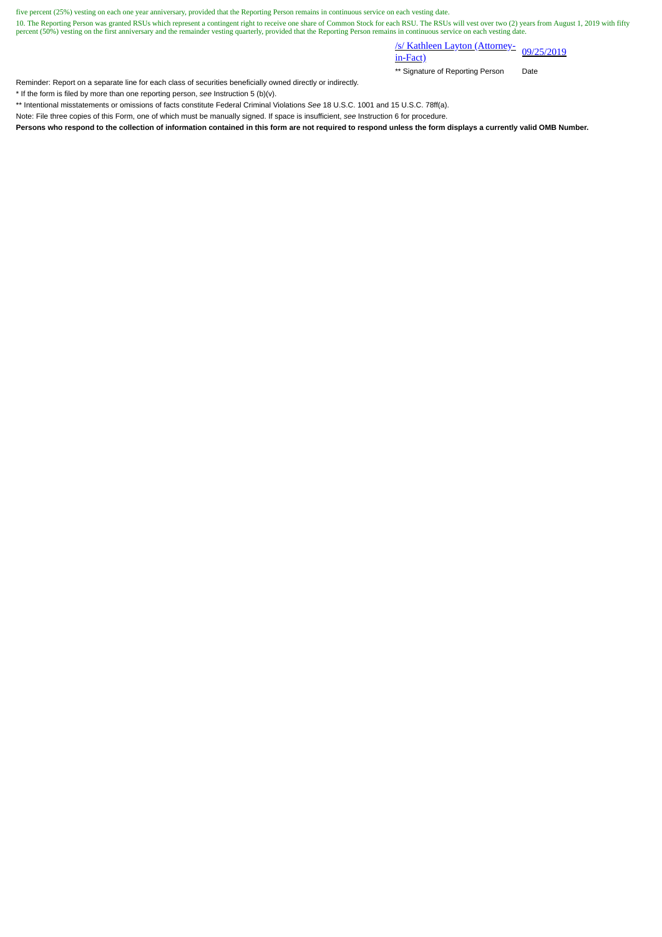five percent (25%) vesting on each one year anniversary, provided that the Reporting Person remains in continuous service on each vesting date.

10. The Reporting Person was granted RSUs which represent a contingent right to receive one share of Common Stock for each RSU. The RSUs will vest over two (2) years from August 1, 2019 with fifty<br>percent (50%) vesting on

/s/ Kathleen Layton (Attorney- 09/25/2019)<br>in-Fact)

\*\* Signature of Reporting Person Date

Reminder: Report on a separate line for each class of securities beneficially owned directly or indirectly.

\* If the form is filed by more than one reporting person, *see* Instruction 5 (b)(v).

\*\* Intentional misstatements or omissions of facts constitute Federal Criminal Violations *See* 18 U.S.C. 1001 and 15 U.S.C. 78ff(a).

Note: File three copies of this Form, one of which must be manually signed. If space is insufficient, *see* Instruction 6 for procedure.

**Persons who respond to the collection of information contained in this form are not required to respond unless the form displays a currently valid OMB Number.**